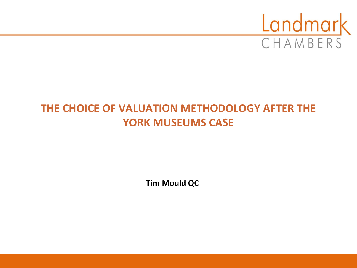

# **THE CHOICE OF VALUATION METHODOLOGY AFTER THE YORK MUSEUMS CASE**

**Tim Mould QC**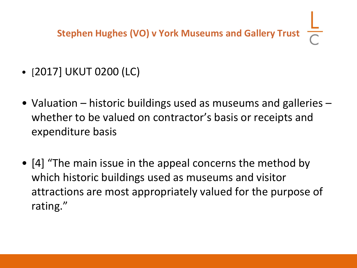**Stephen Hughes (VO) v York Museums and Gallery Trust**

- [2017] UKUT 0200 (LC)
- Valuation historic buildings used as museums and galleries whether to be valued on contractor's basis or receipts and expenditure basis
- [4] "The main issue in the appeal concerns the method by which historic buildings used as museums and visitor attractions are most appropriately valued for the purpose of rating."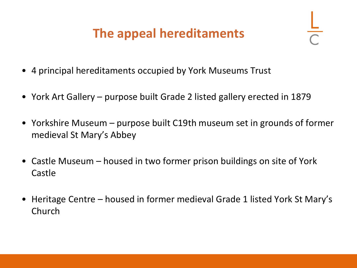# **The appeal hereditaments**

- 4 principal hereditaments occupied by York Museums Trust
- York Art Gallery purpose built Grade 2 listed gallery erected in 1879
- Yorkshire Museum purpose built C19th museum set in grounds of former medieval St Mary's Abbey
- Castle Museum housed in two former prison buildings on site of York Castle
- Heritage Centre housed in former medieval Grade 1 listed York St Mary's Church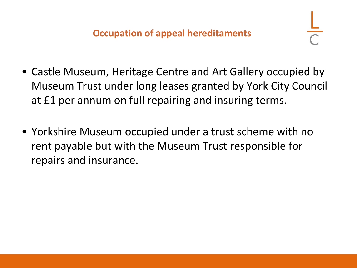- Castle Museum, Heritage Centre and Art Gallery occupied by Museum Trust under long leases granted by York City Council at £1 per annum on full repairing and insuring terms.
- Yorkshire Museum occupied under a trust scheme with no rent payable but with the Museum Trust responsible for repairs and insurance.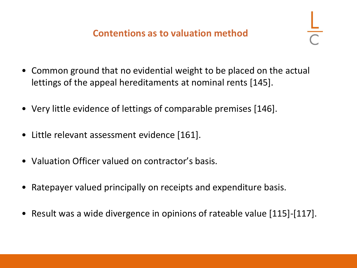- Common ground that no evidential weight to be placed on the actual lettings of the appeal hereditaments at nominal rents [145].
- Very little evidence of lettings of comparable premises [146].
- Little relevant assessment evidence [161].
- Valuation Officer valued on contractor's basis.
- Ratepayer valued principally on receipts and expenditure basis.
- Result was a wide divergence in opinions of rateable value [115]-[117].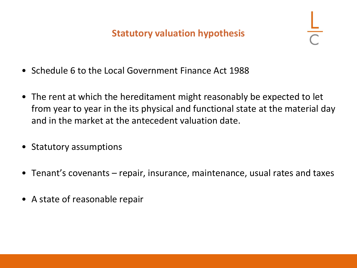#### **Statutory valuation hypothesis**

- Schedule 6 to the Local Government Finance Act 1988
- The rent at which the hereditament might reasonably be expected to let from year to year in the its physical and functional state at the material day and in the market at the antecedent valuation date.
- Statutory assumptions
- Tenant's covenants repair, insurance, maintenance, usual rates and taxes
- A state of reasonable repair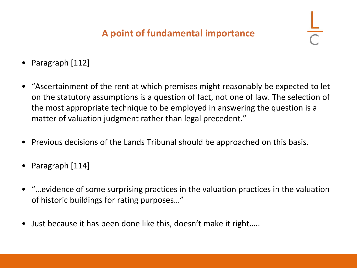#### **A point of fundamental importance**

- Paragraph [112]
- "Ascertainment of the rent at which premises might reasonably be expected to let on the statutory assumptions is a question of fact, not one of law. The selection of the most appropriate technique to be employed in answering the question is a matter of valuation judgment rather than legal precedent."
- Previous decisions of the Lands Tribunal should be approached on this basis.
- Paragraph [114]
- "…evidence of some surprising practices in the valuation practices in the valuation of historic buildings for rating purposes…"
- Just because it has been done like this, doesn't make it right…..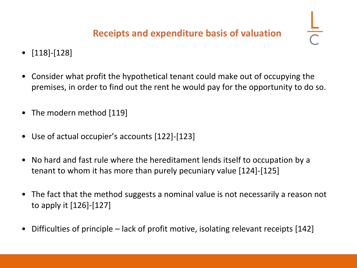### **Receipts and expenditure basis of valuation**

- [118]-[128]
- Consider what profit the hypothetical tenant could make out of occupying the premises, in order to find out the rent he would pay for the opportunity to do so.
- The modern method [119]
- Use of actual occupier's accounts [122]-[123]
- No hard and fast rule where the hereditament lends itself to occupation by a tenant to whom it has more than purely pecuniary value [124]-[125]
- The fact that the method suggests a nominal value is not necessarily a reason not to apply it [126]-[127]
- Difficulties of principle lack of profit motive, isolating relevant receipts [142]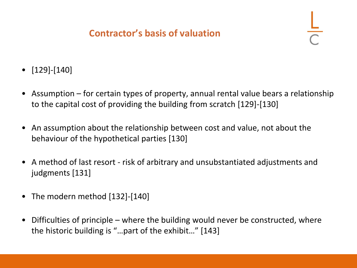#### **Contractor's basis of valuation**

- [129]-[140]
- Assumption for certain types of property, annual rental value bears a relationship to the capital cost of providing the building from scratch [129]-[130]
- An assumption about the relationship between cost and value, not about the behaviour of the hypothetical parties [130]
- A method of last resort risk of arbitrary and unsubstantiated adjustments and judgments [131]
- The modern method [132]-[140]
- Difficulties of principle where the building would never be constructed, where the historic building is "…part of the exhibit…" [143]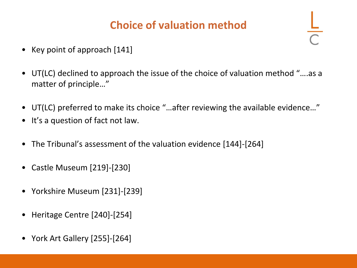# **Choice of valuation method**

- Key point of approach [141]
- UT(LC) declined to approach the issue of the choice of valuation method "….as a matter of principle…"
- UT(LC) preferred to make its choice "…after reviewing the available evidence…"
- It's a question of fact not law.
- The Tribunal's assessment of the valuation evidence [144]-[264]
- Castle Museum [219]-[230]
- Yorkshire Museum [231]-[239]
- Heritage Centre [240]-[254]
- York Art Gallery [255]-[264]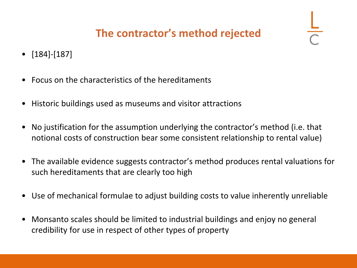## **The contractor's method rejected**

- [184]-[187]
- Focus on the characteristics of the hereditaments
- Historic buildings used as museums and visitor attractions
- No justification for the assumption underlying the contractor's method (i.e. that notional costs of construction bear some consistent relationship to rental value)
- The available evidence suggests contractor's method produces rental valuations for such hereditaments that are clearly too high
- Use of mechanical formulae to adjust building costs to value inherently unreliable
- Monsanto scales should be limited to industrial buildings and enjoy no general credibility for use in respect of other types of property